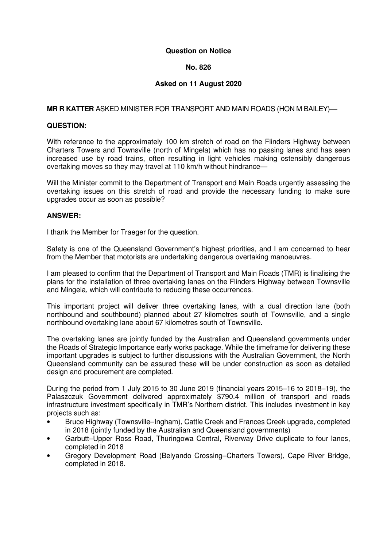### **Question on Notice**

## **No. 826**

# **Asked on 11 August 2020**

## **MR R KATTER** ASKED MINISTER FOR TRANSPORT AND MAIN ROADS (HON M BAILEY)

### **QUESTION:**

With reference to the approximately 100 km stretch of road on the Flinders Highway between Charters Towers and Townsville (north of Mingela) which has no passing lanes and has seen increased use by road trains, often resulting in light vehicles making ostensibly dangerous overtaking moves so they may travel at 110 km/h without hindrance—

Will the Minister commit to the Department of Transport and Main Roads urgently assessing the overtaking issues on this stretch of road and provide the necessary funding to make sure upgrades occur as soon as possible?

### **ANSWER:**

I thank the Member for Traeger for the question.

Safety is one of the Queensland Government's highest priorities, and I am concerned to hear from the Member that motorists are undertaking dangerous overtaking manoeuvres.

I am pleased to confirm that the Department of Transport and Main Roads (TMR) is finalising the plans for the installation of three overtaking lanes on the Flinders Highway between Townsville and Mingela, which will contribute to reducing these occurrences.

This important project will deliver three overtaking lanes, with a dual direction lane (both northbound and southbound) planned about 27 kilometres south of Townsville, and a single northbound overtaking lane about 67 kilometres south of Townsville.

The overtaking lanes are jointly funded by the Australian and Queensland governments under the Roads of Strategic Importance early works package. While the timeframe for delivering these important upgrades is subject to further discussions with the Australian Government, the North Queensland community can be assured these will be under construction as soon as detailed design and procurement are completed.

During the period from 1 July 2015 to 30 June 2019 (financial years 2015–16 to 2018–19), the Palaszczuk Government delivered approximately \$790.4 million of transport and roads infrastructure investment specifically in TMR's Northern district. This includes investment in key projects such as:

- Bruce Highway (Townsville–Ingham), Cattle Creek and Frances Creek upgrade, completed in 2018 (jointly funded by the Australian and Queensland governments)
- Garbutt–Upper Ross Road, Thuringowa Central, Riverway Drive duplicate to four lanes, completed in 2018
- Gregory Development Road (Belyando Crossing–Charters Towers), Cape River Bridge, completed in 2018.